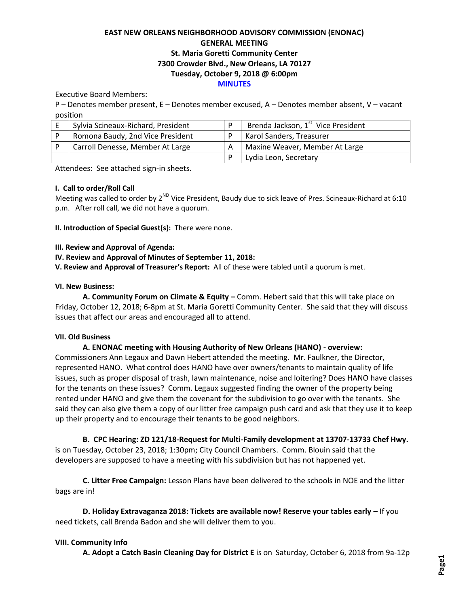# **EAST NEW ORLEANS NEIGHBORHOOD ADVISORY COMMISSION (ENONAC) GENERAL MEETING St. Maria Goretti Community Center 7300 Crowder Blvd., New Orleans, LA 70127 Tuesday, October 9, 2018 @ 6:00pm MINUTES**

Executive Board Members:

P – Denotes member present, E – Denotes member excused, A – Denotes member absent, V – vacant position

| Sylvia Scineaux-Richard, President | Brenda Jackson, 1 <sup>st</sup> Vice President |
|------------------------------------|------------------------------------------------|
| Romona Baudy, 2nd Vice President   | Karol Sanders, Treasurer                       |
| Carroll Denesse, Member At Large   | Maxine Weaver, Member At Large                 |
|                                    | Lydia Leon, Secretary                          |

Attendees: See attached sign-in sheets.

## **I. Call to order/Roll Call**

Meeting was called to order by 2<sup>ND</sup> Vice President, Baudy due to sick leave of Pres. Scineaux-Richard at 6:10 p.m. After roll call, we did not have a quorum.

**II. Introduction of Special Guest(s):** There were none.

### **III. Review and Approval of Agenda:**

### **IV. Review and Approval of Minutes of September 11, 2018:**

**V. Review and Approval of Treasurer's Report:** All of these were tabled until a quorum is met.

### **VI. New Business:**

**A. Community Forum on Climate & Equity –** Comm. Hebert said that this will take place on Friday, October 12, 2018; 6-8pm at St. Maria Goretti Community Center. She said that they will discuss issues that affect our areas and encouraged all to attend.

## **VII. Old Business**

## **A. ENONAC meeting with Housing Authority of New Orleans (HANO) - overview:**

Commissioners Ann Legaux and Dawn Hebert attended the meeting. Mr. Faulkner, the Director, represented HANO. What control does HANO have over owners/tenants to maintain quality of life issues, such as proper disposal of trash, lawn maintenance, noise and loitering? Does HANO have classes for the tenants on these issues? Comm. Legaux suggested finding the owner of the property being rented under HANO and give them the covenant for the subdivision to go over with the tenants. She said they can also give them a copy of our litter free campaign push card and ask that they use it to keep up their property and to encourage their tenants to be good neighbors.

**B. CPC Hearing: ZD 121/18-Request for Multi-Family development at 13707-13733 Chef Hwy.**  is on Tuesday, October 23, 2018; 1:30pm; City Council Chambers. Comm. Blouin said that the developers are supposed to have a meeting with his subdivision but has not happened yet.

**C. Litter Free Campaign:** Lesson Plans have been delivered to the schools in NOE and the litter bags are in!

**D. Holiday Extravaganza 2018: Tickets are available now! Reserve your tables early - If you** need tickets, call Brenda Badon and she will deliver them to you.

## **VIII. Community Info**

**A. Adopt a Catch Basin Cleaning Day for District E** is on Saturday, October 6, 2018 from 9a-12p